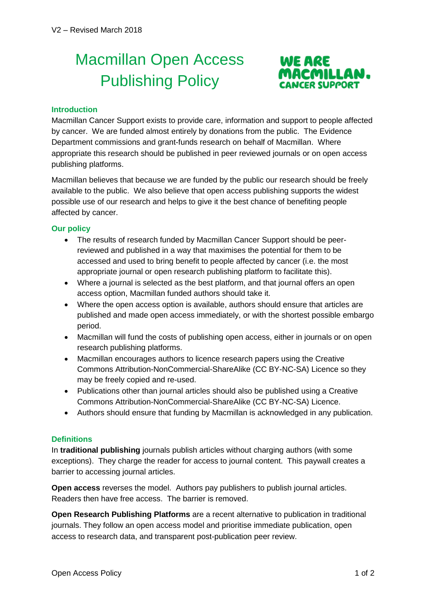## Macmillan Open Access Publishing Policy



## **Introduction**

Macmillan Cancer Support exists to provide care, information and support to people affected by cancer. We are funded almost entirely by donations from the public. The Evidence Department commissions and grant-funds research on behalf of Macmillan. Where appropriate this research should be published in peer reviewed journals or on open access publishing platforms.

Macmillan believes that because we are funded by the public our research should be freely available to the public. We also believe that open access publishing supports the widest possible use of our research and helps to give it the best chance of benefiting people affected by cancer.

## **Our policy**

- The results of research funded by Macmillan Cancer Support should be peerreviewed and published in a way that maximises the potential for them to be accessed and used to bring benefit to people affected by cancer (i.e. the most appropriate journal or open research publishing platform to facilitate this).
- Where a journal is selected as the best platform, and that journal offers an open access option, Macmillan funded authors should take it.
- Where the open access option is available, authors should ensure that articles are published and made open access immediately, or with the shortest possible embargo period.
- Macmillan will fund the costs of publishing open access, either in journals or on open research publishing platforms.
- Macmillan encourages authors to licence research papers using the Creative Commons Attribution-NonCommercial-ShareAlike (CC BY-NC-SA) Licence so they may be freely copied and re-used.
- Publications other than journal articles should also be published using a Creative Commons Attribution-NonCommercial-ShareAlike (CC BY-NC-SA) Licence.
- Authors should ensure that funding by Macmillan is acknowledged in any publication.

## **Definitions**

In **traditional publishing** journals publish articles without charging authors (with some exceptions). They charge the reader for access to journal content. This paywall creates a barrier to accessing journal articles.

**Open access** reverses the model. Authors pay publishers to publish journal articles. Readers then have free access. The barrier is removed.

**Open Research Publishing Platforms** are a recent alternative to publication in traditional journals. They follow an open access model and prioritise immediate publication, open access to research data, and transparent post-publication peer review.